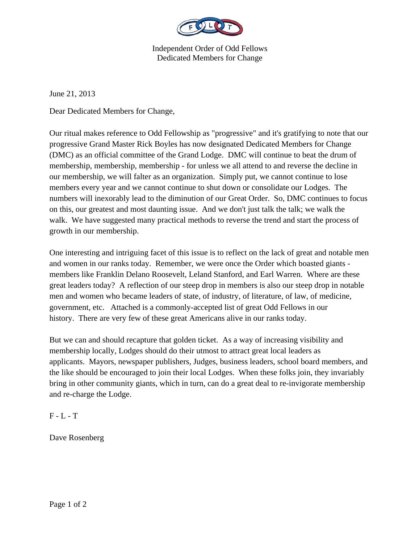

Independent Order of Odd Fellows Dedicated Members for Change

June 21, 2013

Dear Dedicated Members for Change,

Our ritual makes reference to Odd Fellowship as "progressive" and it's gratifying to note that our progressive Grand Master Rick Boyles has now designated Dedicated Members for Change (DMC) as an official committee of the Grand Lodge. DMC will continue to beat the drum of membership, membership, membership - for unless we all attend to and reverse the decline in our membership, we will falter as an organization. Simply put, we cannot continue to lose members every year and we cannot continue to shut down or consolidate our Lodges. The numbers will inexorably lead to the diminution of our Great Order. So, DMC continues to focus on this, our greatest and most daunting issue. And we don't just talk the talk; we walk the walk. We have suggested many practical methods to reverse the trend and start the process of growth in our membership.

One interesting and intriguing facet of this issue is to reflect on the lack of great and notable men and women in our ranks today. Remember, we were once the Order which boasted giants members like Franklin Delano Roosevelt, Leland Stanford, and Earl Warren. Where are these great leaders today? A reflection of our steep drop in members is also our steep drop in notable men and women who became leaders of state, of industry, of literature, of law, of medicine, government, etc. Attached is a commonly-accepted list of great Odd Fellows in our history. There are very few of these great Americans alive in our ranks today.

But we can and should recapture that golden ticket. As a way of increasing visibility and membership locally, Lodges should do their utmost to attract great local leaders as applicants. Mayors, newspaper publishers, Judges, business leaders, school board members, and the like should be encouraged to join their local Lodges. When these folks join, they invariably bring in other community giants, which in turn, can do a great deal to re-invigorate membership and re-charge the Lodge.

 $F - L - T$ 

Dave Rosenberg